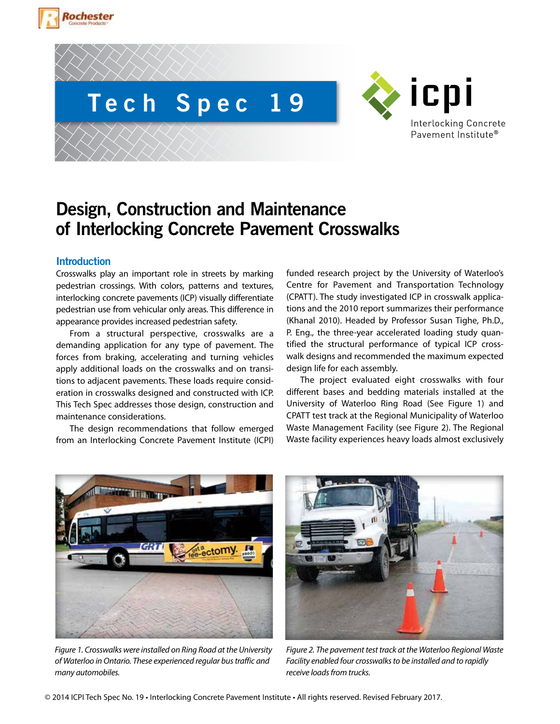





# **Design, Construction and Maintenance of Interlocking Concrete Pavement Crosswalks**

# **Introduction**

Crosswalks play an important role in streets by marking pedestrian crossings. With colors, patterns and textures, interlocking concrete pavements (ICP) visually differentiate pedestrian use from vehicular only areas. This difference in appearance provides increased pedestrian safety.

From a structural perspective, crosswalks are a demanding application for any type of pavement. The forces from braking, accelerating and turning vehicles apply additional loads on the crosswalks and on transitions to adjacent pavements. These loads require consideration in crosswalks designed and constructed with ICP. This Tech Spec addresses those design, construction and maintenance considerations.

The design recommendations that follow emerged from an Interlocking Concrete Pavement Institute (ICPI) funded research project by the University of Waterloo's Centre for Pavement and Transportation Technology (CPATT). The study investigated ICP in crosswalk applications and the 2010 report summarizes their performance (Khanal 2010). Headed by Professor Susan Tighe, Ph.D., P. Eng., the three-year accelerated loading study quantified the structural performance of typical ICP crosswalk designs and recommended the maximum expected design life for each assembly.

The project evaluated eight crosswalks with four different bases and bedding materials installed at the University of Waterloo Ring Road (See Figure 1) and CPATT test track at the Regional Municipality of Waterloo Waste Management Facility (see Figure 2). The Regional Waste facility experiences heavy loads almost exclusively



*Figure 1. Crosswalks were installed on Ring Road at the University of Waterloo in Ontario. These experienced regular bus traffic and many automobiles.*



*Figure 2. The pavement test track at the Waterloo Regional Waste Facility enabled four crosswalks to be installed and to rapidly receive loads from trucks.*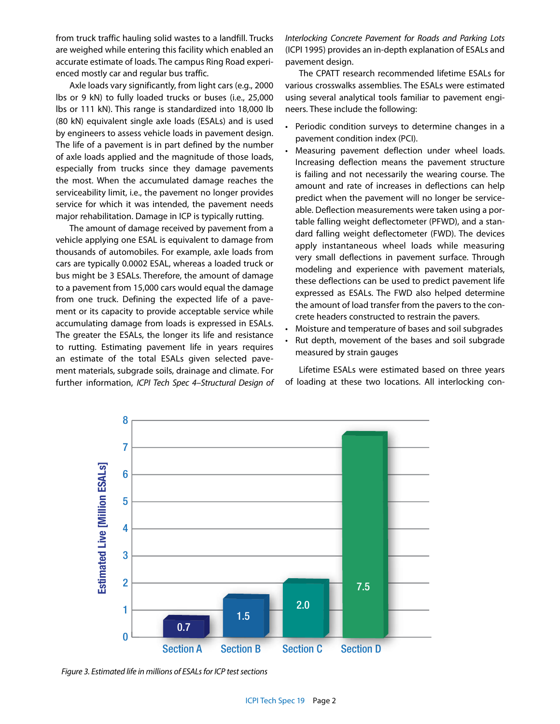from truck traffic hauling solid wastes to a landfill. Trucks are weighed while entering this facility which enabled an accurate estimate of loads. The campus Ring Road experienced mostly car and regular bus traffic.

Axle loads vary significantly, from light cars (e.g., 2000 lbs or 9 kN) to fully loaded trucks or buses (i.e., 25,000 lbs or 111 kN). This range is standardized into 18,000 lb (80 kN) equivalent single axle loads (ESALs) and is used by engineers to assess vehicle loads in pavement design. The life of a pavement is in part defined by the number of axle loads applied and the magnitude of those loads, especially from trucks since they damage pavements the most. When the accumulated damage reaches the serviceability limit, i.e., the pavement no longer provides service for which it was intended, the pavement needs major rehabilitation. Damage in ICP is typically rutting.

The amount of damage received by pavement from a vehicle applying one ESAL is equivalent to damage from thousands of automobiles. For example, axle loads from cars are typically 0.0002 ESAL, whereas a loaded truck or bus might be 3 ESALs. Therefore, the amount of damage to a pavement from 15,000 cars would equal the damage from one truck. Defining the expected life of a pavement or its capacity to provide acceptable service while accumulating damage from loads is expressed in ESALs. The greater the ESALs, the longer its life and resistance to rutting. Estimating pavement life in years requires an estimate of the total ESALs given selected pavement materials, subgrade soils, drainage and climate. For further information, *ICPI Tech Spec 4–Structural Design of*  *Interlocking Concrete Pavement for Roads and Parking Lots* (ICPI 1995) provides an in-depth explanation of ESALs and pavement design.

The CPATT research recommended lifetime ESALs for various crosswalks assemblies. The ESALs were estimated using several analytical tools familiar to pavement engineers. These include the following:

- Periodic condition surveys to determine changes in a pavement condition index (PCI).
- Measuring pavement deflection under wheel loads. Increasing deflection means the pavement structure is failing and not necessarily the wearing course. The amount and rate of increases in deflections can help predict when the pavement will no longer be serviceable. Deflection measurements were taken using a portable falling weight deflectometer (PFWD), and a standard falling weight deflectometer (FWD). The devices apply instantaneous wheel loads while measuring very small deflections in pavement surface. Through modeling and experience with pavement materials, these deflections can be used to predict pavement life expressed as ESALs. The FWD also helped determine the amount of load transfer from the pavers to the concrete headers constructed to restrain the pavers.
- Moisture and temperature of bases and soil subgrades
- Rut depth, movement of the bases and soil subgrade measured by strain gauges

Lifetime ESALs were estimated based on three years of loading at these two locations. All interlocking con-



*Figure 3. Estimated life in millions of ESALs for ICP test sections*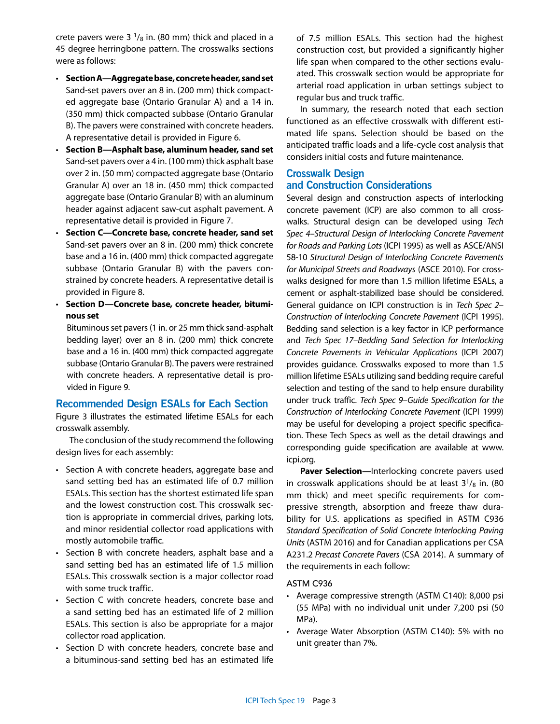crete pavers were 3  $\frac{1}{8}$  in. (80 mm) thick and placed in a 45 degree herringbone pattern. The crosswalks sections were as follows:

- **Section A—Aggregate base, concrete header, sand set** Sand-set pavers over an 8 in. (200 mm) thick compacted aggregate base (Ontario Granular A) and a 14 in. (350 mm) thick compacted subbase (Ontario Granular B). The pavers were constrained with concrete headers. A representative detail is provided in Figure 6.
- **Section B—Asphalt base, aluminum header, sand set** Sand-set pavers over a 4 in. (100 mm) thick asphalt base over 2 in. (50 mm) compacted aggregate base (Ontario Granular A) over an 18 in. (450 mm) thick compacted aggregate base (Ontario Granular B) with an aluminum header against adjacent saw-cut asphalt pavement. A representative detail is provided in Figure 7.
- **Section C—Concrete base, concrete header, sand set**  Sand-set pavers over an 8 in. (200 mm) thick concrete base and a 16 in. (400 mm) thick compacted aggregate subbase (Ontario Granular B) with the pavers constrained by concrete headers. A representative detail is provided in Figure 8.
- **Section D—Concrete base, concrete header, bituminous set**

Bituminous set pavers (1 in. or 25 mm thick sand-asphalt bedding layer) over an 8 in. (200 mm) thick concrete base and a 16 in. (400 mm) thick compacted aggregate subbase (Ontario Granular B). The pavers were restrained with concrete headers. A representative detail is provided in Figure 9.

# **Recommended Design ESALs for Each Section**

Figure 3 illustrates the estimated lifetime ESALs for each crosswalk assembly.

The conclusion of the study recommend the following design lives for each assembly:

- Section A with concrete headers, aggregate base and sand setting bed has an estimated life of 0.7 million ESALs. This section has the shortest estimated life span and the lowest construction cost. This crosswalk section is appropriate in commercial drives, parking lots, and minor residential collector road applications with mostly automobile traffic.
- Section B with concrete headers, asphalt base and a sand setting bed has an estimated life of 1.5 million ESALs. This crosswalk section is a major collector road with some truck traffic.
- Section C with concrete headers, concrete base and a sand setting bed has an estimated life of 2 million ESALs. This section is also be appropriate for a major collector road application.
- Section D with concrete headers, concrete base and a bituminous-sand setting bed has an estimated life

of 7.5 million ESALs. This section had the highest construction cost, but provided a significantly higher life span when compared to the other sections evaluated. This crosswalk section would be appropriate for arterial road application in urban settings subject to regular bus and truck traffic.

In summary, the research noted that each section functioned as an effective crosswalk with different estimated life spans. Selection should be based on the anticipated traffic loads and a life-cycle cost analysis that considers initial costs and future maintenance.

# **Crosswalk Design and Construction Considerations**

Several design and construction aspects of interlocking concrete pavement (ICP) are also common to all crosswalks. Structural design can be developed using *Tech Spec 4–Structural Design of Interlocking Concrete Pavement for Roads and Parking Lots* (ICPI 1995) as well as ASCE/ANSI 58-10 *Structural Design of Interlocking Concrete Pavements for Municipal Streets and Roadways* (ASCE 2010). For crosswalks designed for more than 1.5 million lifetime ESALs, a cement or asphalt-stabilized base should be considered. General guidance on ICPI construction is in *Tech Spec 2– Construction of Interlocking Concrete Pavement* (ICPI 1995). Bedding sand selection is a key factor in ICP performance and *Tech Spec 17–Bedding Sand Selection for Interlocking Concrete Pavements in Vehicular Applications* (ICPI 2007) provides guidance. Crosswalks exposed to more than 1.5 million lifetime ESALs utilizing sand bedding require careful selection and testing of the sand to help ensure durability under truck traffic. *Tech Spec 9–Guide Specification for the Construction of Interlocking Concrete Pavement* (ICPI 1999) may be useful for developing a project specific specification. These Tech Specs as well as the detail drawings and corresponding guide specification are available at www. icpi.org.

**Paver Selection—**Interlocking concrete pavers used in crosswalk applications should be at least  $3^{1}/_{8}$  in. (80 mm thick) and meet specific requirements for compressive strength, absorption and freeze thaw durability for U.S. applications as specified in ASTM C936 *Standard Specification of Solid Concrete Interlocking Paving Units* (ASTM 2016) and for Canadian applications per CSA A231.2 *Precast Concrete Pavers* (CSA 2014). A summary of the requirements in each follow:

#### ASTM C936

- Average compressive strength (ASTM C140): 8,000 psi (55 MPa) with no individual unit under 7,200 psi (50 MPa).
- Average Water Absorption (ASTM C140): 5% with no unit greater than 7%.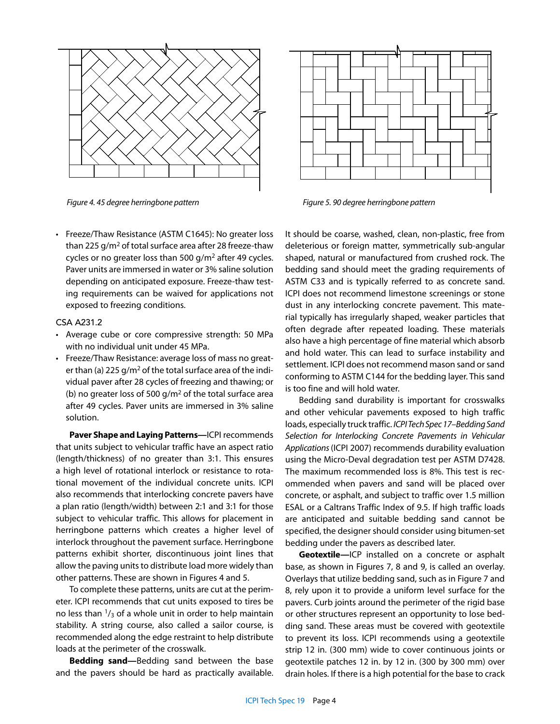



*Figure 4. 45 degree herringbone pattern Figure 5. 90 degree herringbone pattern*

• Freeze/Thaw Resistance (ASTM C1645): No greater loss than 225 g/m2 of total surface area after 28 freeze-thaw cycles or no greater loss than 500 g/m2 after 49 cycles. Paver units are immersed in water or 3% saline solution depending on anticipated exposure. Freeze-thaw testing requirements can be waived for applications not exposed to freezing conditions.

#### CSA A231.2

- Average cube or core compressive strength: 50 MPa with no individual unit under 45 MPa.
- Freeze/Thaw Resistance: average loss of mass no greater than (a) 225  $q/m^2$  of the total surface area of the individual paver after 28 cycles of freezing and thawing; or (b) no greater loss of 500 g/ $m^2$  of the total surface area after 49 cycles. Paver units are immersed in 3% saline solution.

**Paver Shape and Laying Patterns—**ICPI recommends that units subject to vehicular traffic have an aspect ratio (length/thickness) of no greater than 3:1. This ensures a high level of rotational interlock or resistance to rotational movement of the individual concrete units. ICPI also recommends that interlocking concrete pavers have a plan ratio (length/width) between 2:1 and 3:1 for those subject to vehicular traffic. This allows for placement in herringbone patterns which creates a higher level of interlock throughout the pavement surface. Herringbone patterns exhibit shorter, discontinuous joint lines that allow the paving units to distribute load more widely than other patterns. These are shown in Figures 4 and 5.

To complete these patterns, units are cut at the perimeter. ICPI recommends that cut units exposed to tires be no less than  $\frac{1}{3}$  of a whole unit in order to help maintain stability. A string course, also called a sailor course, is recommended along the edge restraint to help distribute loads at the perimeter of the crosswalk.

**Bedding sand—**Bedding sand between the base and the pavers should be hard as practically available. It should be coarse, washed, clean, non-plastic, free from deleterious or foreign matter, symmetrically sub-angular shaped, natural or manufactured from crushed rock. The bedding sand should meet the grading requirements of ASTM C33 and is typically referred to as concrete sand. ICPI does not recommend limestone screenings or stone dust in any interlocking concrete pavement. This material typically has irregularly shaped, weaker particles that often degrade after repeated loading. These materials also have a high percentage of fine material which absorb and hold water. This can lead to surface instability and settlement. ICPI does not recommend mason sand or sand conforming to ASTM C144 for the bedding layer. This sand is too fine and will hold water.

Bedding sand durability is important for crosswalks and other vehicular pavements exposed to high traffic loads, especially truck traffic. *ICPI Tech Spec 17–Bedding Sand Selection for Interlocking Concrete Pavements in Vehicular Applications* (ICPI 2007) recommends durability evaluation using the Micro-Deval degradation test per ASTM D7428. The maximum recommended loss is 8%. This test is recommended when pavers and sand will be placed over concrete, or asphalt, and subject to traffic over 1.5 million ESAL or a Caltrans Traffic Index of 9.5. If high traffic loads are anticipated and suitable bedding sand cannot be specified, the designer should consider using bitumen-set bedding under the pavers as described later.

**Geotextile—**ICP installed on a concrete or asphalt base, as shown in Figures 7, 8 and 9, is called an overlay. Overlays that utilize bedding sand, such as in Figure 7 and 8, rely upon it to provide a uniform level surface for the pavers. Curb joints around the perimeter of the rigid base or other structures represent an opportunity to lose bedding sand. These areas must be covered with geotextile to prevent its loss. ICPI recommends using a geotextile strip 12 in. (300 mm) wide to cover continuous joints or geotextile patches 12 in. by 12 in. (300 by 300 mm) over drain holes. If there is a high potential for the base to crack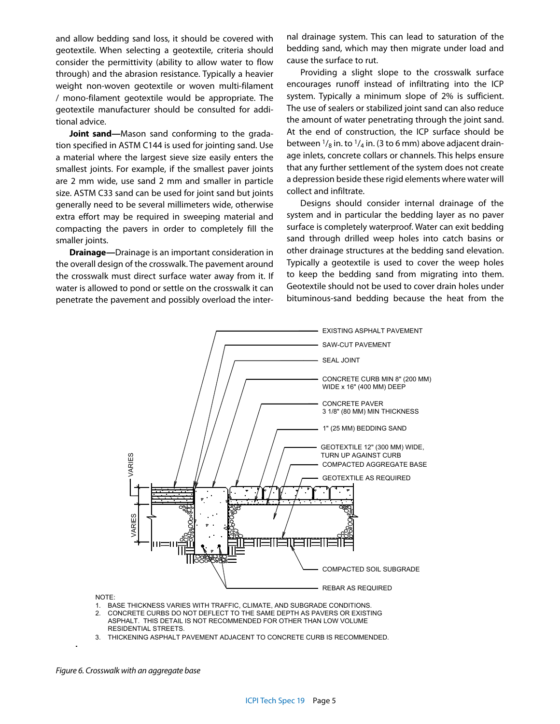and allow bedding sand loss, it should be covered with geotextile. When selecting a geotextile, criteria should consider the permittivity (ability to allow water to flow through) and the abrasion resistance. Typically a heavier weight non-woven geotextile or woven multi-filament / mono-filament geotextile would be appropriate. The geotextile manufacturer should be consulted for additional advice.

**Joint sand—**Mason sand conforming to the gradation specified in ASTM C144 is used for jointing sand. Use a material where the largest sieve size easily enters the smallest joints. For example, if the smallest paver joints are 2 mm wide, use sand 2 mm and smaller in particle size. ASTM C33 sand can be used for joint sand but joints generally need to be several millimeters wide, otherwise extra effort may be required in sweeping material and compacting the pavers in order to completely fill the smaller joints.

**Drainage—**Drainage is an important consideration in the overall design of the crosswalk. The pavement around the crosswalk must direct surface water away from it. If water is allowed to pond or settle on the crosswalk it can penetrate the pavement and possibly overload the inter-

nal drainage system. This can lead to saturation of the bedding sand, which may then migrate under load and cause the surface to rut.

Providing a slight slope to the crosswalk surface encourages runoff instead of infiltrating into the ICP system. Typically a minimum slope of 2% is sufficient. The use of sealers or stabilized joint sand can also reduce the amount of water penetrating through the joint sand. At the end of construction, the ICP surface should be between  $\frac{1}{8}$  in. to  $\frac{1}{4}$  in. (3 to 6 mm) above adjacent drainage inlets, concrete collars or channels. This helps ensure that any further settlement of the system does not create a depression beside these rigid elements where water will collect and infiltrate.

Designs should consider internal drainage of the system and in particular the bedding layer as no paver surface is completely waterproof. Water can exit bedding sand through drilled weep holes into catch basins or other drainage structures at the bedding sand elevation. Typically a geotextile is used to cover the weep holes to keep the bedding sand from migrating into them. Geotextile should not be used to cover drain holes under bituminous-sand bedding because the heat from the



NOTE:

- 1. BASE THICKNESS VARIES WITH TRAFFIC, CLIMATE, AND SUBGRADE CONDITIONS.
- RESIDENTIAL STREETS. CONCRETE CURBS DO NOT DEFLECT TO THE SAME DEPTH AS PAVERS OR EXISTING ASPHALT. THIS DETAIL IS NOT RECOMMENDED FOR OTHER THAN LOW VOLUME 2.
- 3. THICKENING ASPHALT PAVEMENT ADJACENT TO CONCRETE CURB IS RECOMMENDED.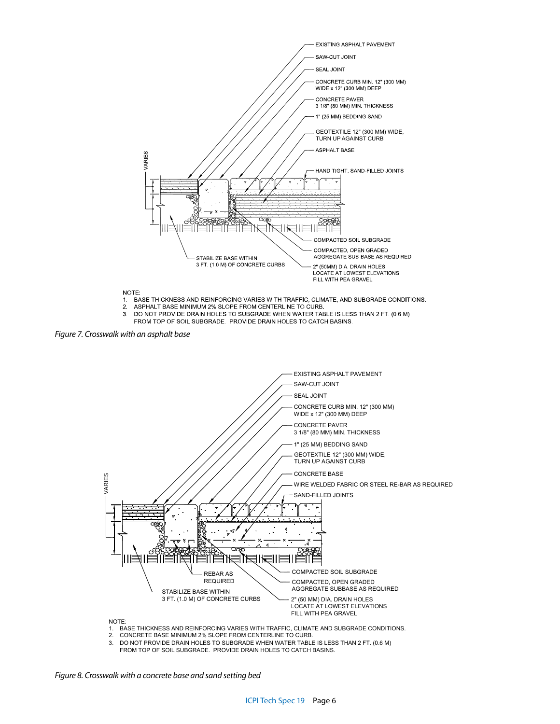

- DO NOT PROVIDE DRAIN HOLES TO SUBGRADE WHEN WATER TABLE IS LESS THAN 2 FT. (0.6 M)
- $3<sub>l</sub>$ FROM TOP OF SOIL SUBGRADE. PROVIDE DRAIN HOLES TO CATCH BASINS.

*Figure 7. Crosswalk with an asphalt base*



- 1. BASE THICKNESS AND REINFORCING VARIES WITH TRAFFIC, CLIMATE AND SUBGRADE CONDITIONS.
- 2. CONCRETE BASE MINIMUM 2% SLOPE FROM CENTERLINE TO CURB.<br>3. DO NOT PROVIDE DRAIN HOLES TO SUBGRADE WHEN WATER TABLE
- 3. DO NOT PROVIDE DRAIN HOLES TO SUBGRADE WHEN WATER TABLE IS LESS THAN 2 FT. (0.6 M) FROM TOP OF SOIL SUBGRADE. PROVIDE DRAIN HOLES TO CATCH BASINS.

*Figure 8. Crosswalk with a concrete base and sand setting bed*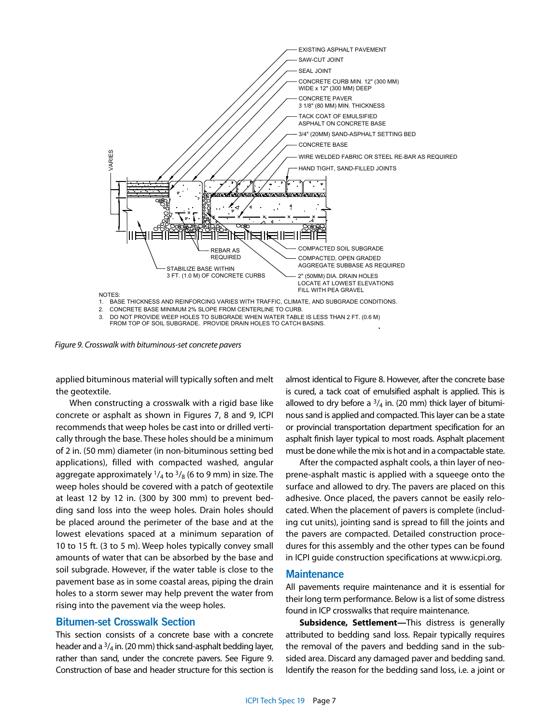

*Figure 9. Crosswalk with bituminous-set concrete pavers*

applied bituminous material will typically soften and melt the geotextile.

When constructing a crosswalk with a rigid base like concrete or asphalt as shown in Figures 7, 8 and 9, ICPI recommends that weep holes be cast into or drilled vertically through the base. These holes should be a minimum of 2 in. (50 mm) diameter (in non-bituminous setting bed applications), filled with compacted washed, angular aggregate approximately  $\frac{1}{4}$  to  $\frac{3}{8}$  (6 to 9 mm) in size. The weep holes should be covered with a patch of geotextile at least 12 by 12 in. (300 by 300 mm) to prevent bedding sand loss into the weep holes. Drain holes should be placed around the perimeter of the base and at the lowest elevations spaced at a minimum separation of 10 to 15 ft. (3 to 5 m). Weep holes typically convey small amounts of water that can be absorbed by the base and soil subgrade. However, if the water table is close to the pavement base as in some coastal areas, piping the drain holes to a storm sewer may help prevent the water from rising into the pavement via the weep holes.

### **Bitumen-set Crosswalk Section**

This section consists of a concrete base with a concrete header and a  $\frac{3}{4}$  in. (20 mm) thick sand-asphalt bedding layer, rather than sand, under the concrete pavers. See Figure 9. Construction of base and header structure for this section is almost identical to Figure 8. However, after the concrete base is cured, a tack coat of emulsified asphalt is applied. This is allowed to dry before a  $3/4$  in. (20 mm) thick layer of bituminous sand is applied and compacted. This layer can be a state or provincial transportation department specification for an asphalt finish layer typical to most roads. Asphalt placement must be done while the mix is hot and in a compactable state.

After the compacted asphalt cools, a thin layer of neoprene-asphalt mastic is applied with a squeege onto the surface and allowed to dry. The pavers are placed on this adhesive. Once placed, the pavers cannot be easily relocated. When the placement of pavers is complete (including cut units), jointing sand is spread to fill the joints and the pavers are compacted. Detailed construction procedures for this assembly and the other types can be found in ICPI guide construction specifications at www.icpi.org*.* 

#### **Maintenance**

All pavements require maintenance and it is essential for their long term performance. Below is a list of some distress found in ICP crosswalks that require maintenance.

**Subsidence, Settlement—**This distress is generally attributed to bedding sand loss. Repair typically requires the removal of the pavers and bedding sand in the subsided area. Discard any damaged paver and bedding sand. Identify the reason for the bedding sand loss, i.e. a joint or